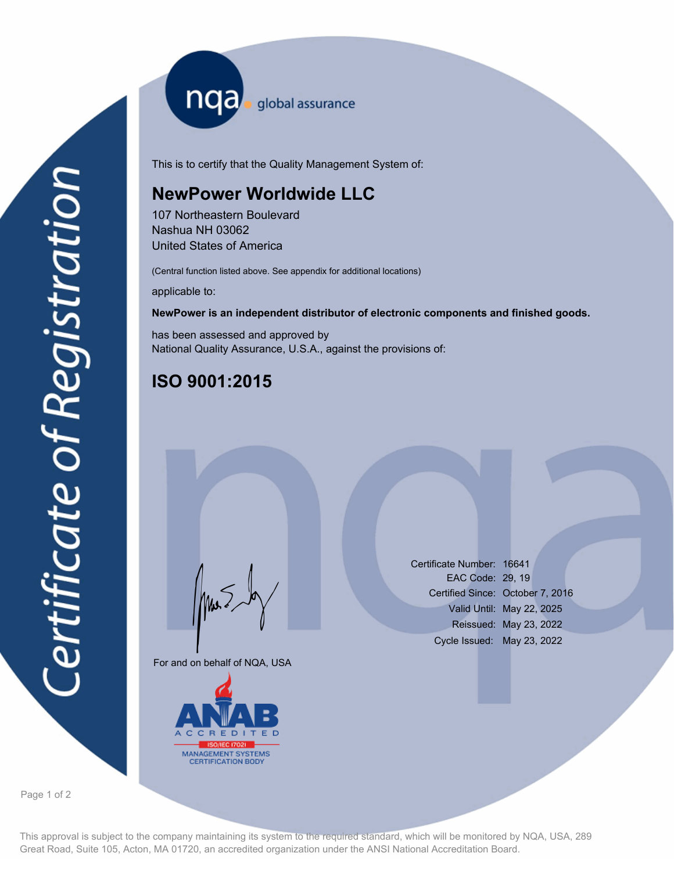nqa <sub>global</sub> assurance

This is to certify that the Quality Management System of:

## **NewPower Worldwide LLC**

107 Northeastern Boulevard Nashua NH 03062 United States of America

(Central function listed above. See appendix for additional locations)

applicable to:

### **NewPower is an independent distributor of electronic components and finished goods.**

has been assessed and approved by National Quality Assurance, U.S.A., against the provisions of:

# **ISO 9001:2015**

For and on behalf of NQA, USA

Mus



Certificate Number: 16641 EAC Code: 29, 19 Certified Since: October 7, 2016 Valid Until: May 22, 2025 Reissued: May 23, 2022 Cycle Issued: May 23, 2022

Page 1 of 2

This approval is subject to the company maintaining its system to the required standard, which will be monitored by NQA, USA, 289 Great Road, Suite 105, Acton, MA 01720, an accredited organization under the ANSI National Accreditation Board.